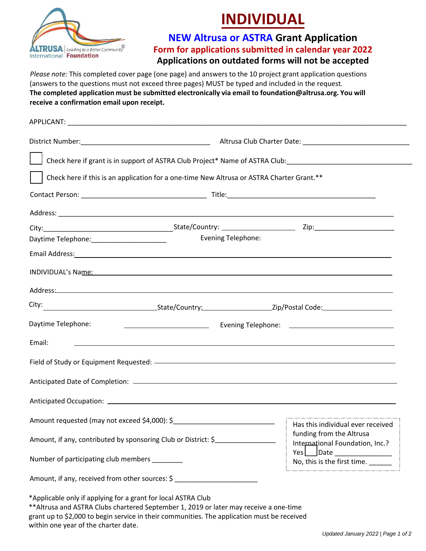

## **INDIVIDUAL**

**NEW Altrusa or ASTRA Grant Application Form for applications submitted in calendar year 2022 Applications on outdated forms will not be accepted**

*Please note:* This completed cover page (one page) and answers to the 10 project grant application questions (answers to the questions must not exceed three pages) MUST be typed and included in the request. **The completed application must be submitted electronically via email to foundation@altrusa.org. You will receive a confirmation email upon receipt.**

|                                                               |                                                                                           | Check here if grant is in support of ASTRA Club Project* Name of ASTRA Club: _________________________________                                                                                                                 |  |
|---------------------------------------------------------------|-------------------------------------------------------------------------------------------|--------------------------------------------------------------------------------------------------------------------------------------------------------------------------------------------------------------------------------|--|
|                                                               | Check here if this is an application for a one-time New Altrusa or ASTRA Charter Grant.** |                                                                                                                                                                                                                                |  |
|                                                               |                                                                                           |                                                                                                                                                                                                                                |  |
|                                                               |                                                                                           |                                                                                                                                                                                                                                |  |
|                                                               |                                                                                           |                                                                                                                                                                                                                                |  |
| Daytime Telephone: ________________________                   |                                                                                           | <b>Evening Telephone:</b>                                                                                                                                                                                                      |  |
|                                                               |                                                                                           | Email Address: 1988 and 2008 and 2008 and 2008 and 2008 and 2008 and 2008 and 2008 and 2008 and 2008 and 2008 and 2008 and 2008 and 2008 and 2008 and 2008 and 2008 and 2008 and 2008 and 2008 and 2008 and 2008 and 2008 and  |  |
|                                                               |                                                                                           | INDIVIDUAL's Name: The Contract of the Contract of the Contract of the Contract of the Contract of the Contract of the Contract of the Contract of the Contract of the Contract of the Contract of the Contract of the Contrac |  |
|                                                               |                                                                                           |                                                                                                                                                                                                                                |  |
|                                                               |                                                                                           |                                                                                                                                                                                                                                |  |
| Daytime Telephone:                                            | <u> 1980 - Jan Barnett, fransk politiker (</u>                                            |                                                                                                                                                                                                                                |  |
| Email:                                                        |                                                                                           | <u> 1989 - Andrea Santa Andrea Andrea Santa Andrea Andrea Andrea Andrea Andrea Andrea Andrea Andrea Andrea Andre</u>                                                                                                           |  |
|                                                               |                                                                                           |                                                                                                                                                                                                                                |  |
|                                                               |                                                                                           |                                                                                                                                                                                                                                |  |
|                                                               |                                                                                           |                                                                                                                                                                                                                                |  |
|                                                               |                                                                                           |                                                                                                                                                                                                                                |  |
|                                                               | Amount, if any, contributed by sponsoring Club or District: \$                            | funding from the Altrusa<br>International Foundation, Inc.?                                                                                                                                                                    |  |
| Number of participating club members _______                  |                                                                                           | $Yes \Box$ Date<br>No, this is the first time.                                                                                                                                                                                 |  |
| Amount, if any, received from other sources: \$               |                                                                                           |                                                                                                                                                                                                                                |  |
| *Applicable only if applying for a grant for local ASTRA Club |                                                                                           |                                                                                                                                                                                                                                |  |

\*\*Altrusa and ASTRA Clubs chartered September 1, 2019 or later may receive a one-time grant up to \$2,000 to begin service in their communities. The application must be received within one year of the charter date.